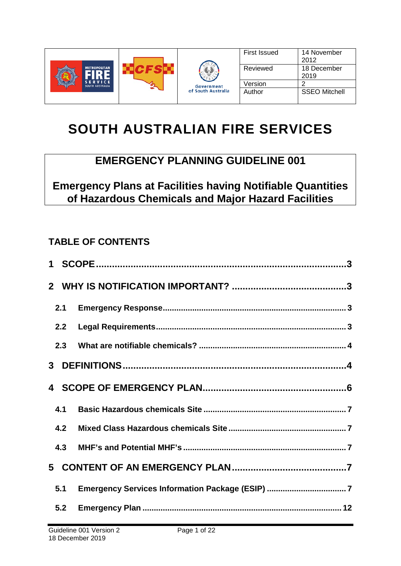

# **SOUTH AUSTRALIAN FIRE SERVICES**

# **EMERGENCY PLANNING GUIDELINE 001**

**Emergency Plans at Facilities having Notifiable Quantities of Hazardous Chemicals and Major Hazard Facilities**

# **TABLE OF CONTENTS**

| 2.1 |                                                  |
|-----|--------------------------------------------------|
| 2.2 |                                                  |
| 2.3 |                                                  |
|     |                                                  |
|     |                                                  |
| 4.1 |                                                  |
| 4.2 |                                                  |
| 4.3 |                                                  |
|     |                                                  |
| 5.1 | Emergency Services Information Package (ESIP)  7 |
| 5.2 |                                                  |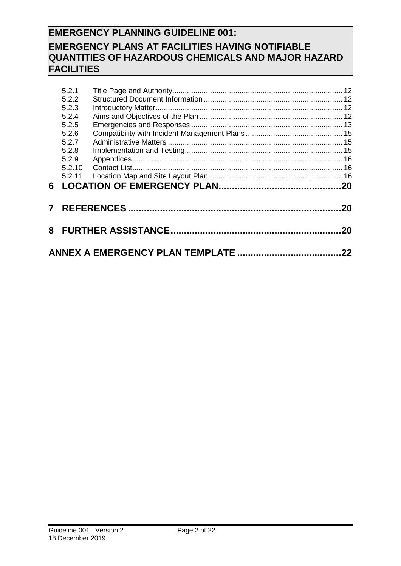|   | 5.2.1  |  |    |  |  |  |  |  |  |
|---|--------|--|----|--|--|--|--|--|--|
|   | 5.2.2  |  |    |  |  |  |  |  |  |
|   | 5.2.3  |  |    |  |  |  |  |  |  |
|   | 5.2.4  |  |    |  |  |  |  |  |  |
|   | 5.2.5  |  |    |  |  |  |  |  |  |
|   | 5.2.6  |  |    |  |  |  |  |  |  |
|   | 5.2.7  |  |    |  |  |  |  |  |  |
|   | 5.2.8  |  |    |  |  |  |  |  |  |
|   | 5.2.9  |  |    |  |  |  |  |  |  |
|   | 5.2.10 |  |    |  |  |  |  |  |  |
|   | 5.2.11 |  |    |  |  |  |  |  |  |
| 6 |        |  |    |  |  |  |  |  |  |
|   |        |  |    |  |  |  |  |  |  |
| 7 |        |  | 20 |  |  |  |  |  |  |
|   |        |  |    |  |  |  |  |  |  |
|   | 20     |  |    |  |  |  |  |  |  |
|   |        |  |    |  |  |  |  |  |  |
|   |        |  |    |  |  |  |  |  |  |
|   |        |  |    |  |  |  |  |  |  |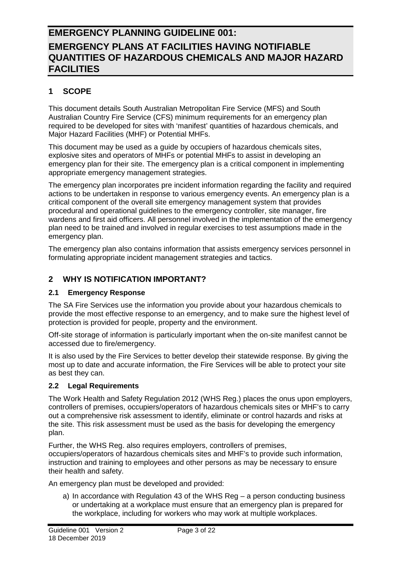### <span id="page-2-0"></span>**1 SCOPE**

This document details South Australian Metropolitan Fire Service (MFS) and South Australian Country Fire Service (CFS) minimum requirements for an emergency plan required to be developed for sites with 'manifest' quantities of hazardous chemicals, and Major Hazard Facilities (MHF) or Potential MHFs.

This document may be used as a guide by occupiers of hazardous chemicals sites, explosive sites and operators of MHFs or potential MHFs to assist in developing an emergency plan for their site. The emergency plan is a critical component in implementing appropriate emergency management strategies.

The emergency plan incorporates pre incident information regarding the facility and required actions to be undertaken in response to various emergency events. An emergency plan is a critical component of the overall site emergency management system that provides procedural and operational guidelines to the emergency controller, site manager, fire wardens and first aid officers. All personnel involved in the implementation of the emergency plan need to be trained and involved in regular exercises to test assumptions made in the emergency plan.

The emergency plan also contains information that assists emergency services personnel in formulating appropriate incident management strategies and tactics.

### <span id="page-2-1"></span>**2 WHY IS NOTIFICATION IMPORTANT?**

#### <span id="page-2-2"></span>**2.1 Emergency Response**

The SA Fire Services use the information you provide about your hazardous chemicals to provide the most effective response to an emergency, and to make sure the highest level of protection is provided for people, property and the environment.

Off-site storage of information is particularly important when the on-site manifest cannot be accessed due to fire/emergency.

It is also used by the Fire Services to better develop their statewide response. By giving the most up to date and accurate information, the Fire Services will be able to protect your site as best they can.

#### <span id="page-2-3"></span>**2.2 Legal Requirements**

The Work Health and Safety Regulation 2012 (WHS Reg.) places the onus upon employers, controllers of premises, occupiers/operators of hazardous chemicals sites or MHF's to carry out a comprehensive risk assessment to identify, eliminate or control hazards and risks at the site. This risk assessment must be used as the basis for developing the emergency plan.

Further, the WHS Reg. also requires employers, controllers of premises, occupiers/operators of hazardous chemicals sites and MHF's to provide such information, instruction and training to employees and other persons as may be necessary to ensure their health and safety.

An emergency plan must be developed and provided:

a) In accordance with Regulation 43 of the WHS Reg – a person conducting business or undertaking at a workplace must ensure that an emergency plan is prepared for the workplace, including for workers who may work at multiple workplaces.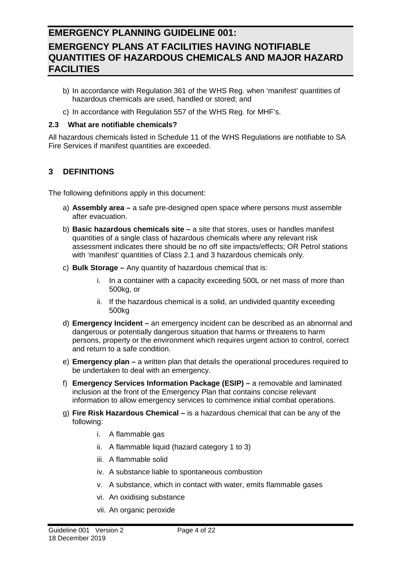- b) In accordance with Regulation 361 of the WHS Reg. when 'manifest' quantities of hazardous chemicals are used, handled or stored; and
- c) In accordance with Regulation 557 of the WHS Reg. for MHF's.

#### <span id="page-3-0"></span>**2.3 What are notifiable chemicals?**

All hazardous chemicals listed in Schedule 11 of the WHS Regulations are notifiable to SA Fire Services if manifest quantities are exceeded.

### <span id="page-3-1"></span>**3 DEFINITIONS**

The following definitions apply in this document:

- a) **Assembly area –** a safe pre-designed open space where persons must assemble after evacuation.
- b) **Basic hazardous chemicals site –** a site that stores, uses or handles manifest quantities of a single class of hazardous chemicals where any relevant risk assessment indicates there should be no off site impacts/effects; OR Petrol stations with 'manifest' quantities of Class 2.1 and 3 hazardous chemicals only.
- c) **Bulk Storage –** Any quantity of hazardous chemical that is:
	- i. In a container with a capacity exceeding 500L or net mass of more than 500kg, or
	- ii. If the hazardous chemical is a solid, an undivided quantity exceeding 500kg
- d) **Emergency Incident –** an emergency incident can be described as an abnormal and dangerous or potentially dangerous situation that harms or threatens to harm persons, property or the environment which requires urgent action to control, correct and return to a safe condition.
- e) **Emergency plan –** a written plan that details the operational procedures required to be undertaken to deal with an emergency.
- f) **Emergency Services Information Package (ESIP) –** a removable and laminated inclusion at the front of the Emergency Plan that contains concise relevant information to allow emergency services to commence initial combat operations.
- g) **Fire Risk Hazardous Chemical –** is a hazardous chemical that can be any of the following:
	- i. A flammable gas
	- ii. A flammable liquid (hazard category 1 to 3)
	- iii. A flammable solid
	- iv. A substance liable to spontaneous combustion
	- v. A substance, which in contact with water, emits flammable gases
	- vi. An oxidising substance
	- vii. An organic peroxide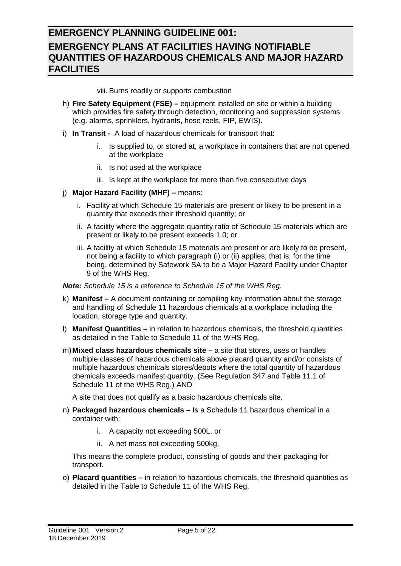viii. Burns readily or supports combustion

- h) **Fire Safety Equipment (FSE) –** equipment installed on site or within a building which provides fire safety through detection, monitoring and suppression systems (e.g. alarms, sprinklers, hydrants, hose reels, FIP, EWIS).
- i) **In Transit -** A load of hazardous chemicals for transport that:
	- i. Is supplied to, or stored at, a workplace in containers that are not opened at the workplace
	- ii. Is not used at the workplace
	- iii. Is kept at the workplace for more than five consecutive days
- j) **Major Hazard Facility (MHF) –** means:
	- i. Facility at which Schedule 15 materials are present or likely to be present in a quantity that exceeds their threshold quantity; or
	- ii. A facility where the aggregate quantity ratio of Schedule 15 materials which are present or likely to be present exceeds 1.0; or
	- iii. A facility at which Schedule 15 materials are present or are likely to be present, not being a facility to which paragraph (i) or (ii) applies, that is, for the time being, determined by Safework SA to be a Major Hazard Facility under Chapter 9 of the WHS Reg.

*Note: Schedule 15 is a reference to Schedule 15 of the WHS Reg.*

- k) **Manifest –** A document containing or compiling key information about the storage and handling of Schedule 11 hazardous chemicals at a workplace including the location, storage type and quantity.
- l) **Manifest Quantities –** in relation to hazardous chemicals, the threshold quantities as detailed in the Table to Schedule 11 of the WHS Reg.
- m)**Mixed class hazardous chemicals site –** a site that stores, uses or handles multiple classes of hazardous chemicals above placard quantity and/or consists of multiple hazardous chemicals stores/depots where the total quantity of hazardous chemicals exceeds manifest quantity. (See Regulation 347 and Table 11.1 of Schedule 11 of the WHS Reg.) AND

A site that does not qualify as a basic hazardous chemicals site.

- n) **Packaged hazardous chemicals –** Is a Schedule 11 hazardous chemical in a container with:
	- i. A capacity not exceeding 500L, or
	- ii. A net mass not exceeding 500kg.

This means the complete product, consisting of goods and their packaging for transport.

o) **Placard quantities –** in relation to hazardous chemicals, the threshold quantities as detailed in the Table to Schedule 11 of the WHS Reg.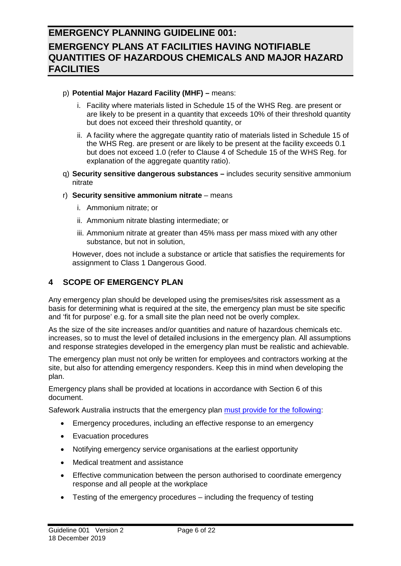#### p) **Potential Major Hazard Facility (MHF) –** means:

- i. Facility where materials listed in Schedule 15 of the WHS Reg. are present or are likely to be present in a quantity that exceeds 10% of their threshold quantity but does not exceed their threshold quantity, or
- ii. A facility where the aggregate quantity ratio of materials listed in Schedule 15 of the WHS Reg. are present or are likely to be present at the facility exceeds 0.1 but does not exceed 1.0 (refer to Clause 4 of Schedule 15 of the WHS Reg. for explanation of the aggregate quantity ratio).
- q) **Security sensitive dangerous substances –** includes security sensitive ammonium nitrate
- r) **Security sensitive ammonium nitrate** means
	- i. Ammonium nitrate; or
	- ii. Ammonium nitrate blasting intermediate; or
	- iii. Ammonium nitrate at greater than 45% mass per mass mixed with any other substance, but not in solution,

However, does not include a substance or article that satisfies the requirements for assignment to Class 1 Dangerous Good.

### <span id="page-5-0"></span>**4 SCOPE OF EMERGENCY PLAN**

Any emergency plan should be developed using the premises/sites risk assessment as a basis for determining what is required at the site, the emergency plan must be site specific and 'fit for purpose' e.g. for a small site the plan need not be overly complex.

As the size of the site increases and/or quantities and nature of hazardous chemicals etc. increases, so to must the level of detailed inclusions in the emergency plan. All assumptions and response strategies developed in the emergency plan must be realistic and achievable.

The emergency plan must not only be written for employees and contractors working at the site, but also for attending emergency responders. Keep this in mind when developing the plan.

Emergency plans shall be provided at locations in accordance with Section 6 of this document.

Safework Australia instructs that the emergency plan [must provide for the following:](https://www.safeworkaustralia.gov.au/topic/emergency-plans-and-procedures#overview)

- Emergency procedures, including an effective response to an emergency
- Evacuation procedures
- Notifying emergency service organisations at the earliest opportunity
- Medical treatment and assistance
- Effective communication between the person authorised to coordinate emergency response and all people at the workplace
- Testing of the emergency procedures including the frequency of testing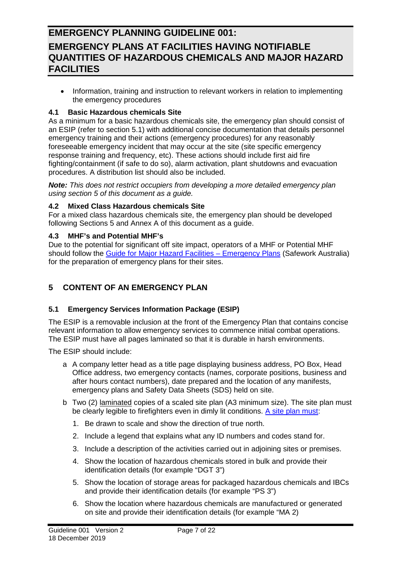• Information, training and instruction to relevant workers in relation to implementing the emergency procedures

#### <span id="page-6-0"></span>**4.1 Basic Hazardous chemicals Site**

As a minimum for a basic hazardous chemicals site, the emergency plan should consist of an ESIP (refer to section 5.1) with additional concise documentation that details personnel emergency training and their actions (emergency procedures) for any reasonably foreseeable emergency incident that may occur at the site (site specific emergency response training and frequency, etc). These actions should include first aid fire fighting/containment (if safe to do so), alarm activation, plant shutdowns and evacuation procedures. A distribution list should also be included.

*Note: This does not restrict occupiers from developing a more detailed emergency plan using section 5 of this document as a guide.*

#### <span id="page-6-1"></span>**4.2 Mixed Class Hazardous chemicals Site**

For a mixed class hazardous chemicals site, the emergency plan should be developed following Sections 5 and Annex A of this document as a guide.

#### <span id="page-6-2"></span>**4.3 MHF's and Potential MHF's**

Due to the potential for significant off site impact, operators of a MHF or Potential MHF should follow the Guide for Major Hazard Facilities - Emergency Plans (Safework Australia) for the preparation of emergency plans for their sites.

### <span id="page-6-3"></span>**5 CONTENT OF AN EMERGENCY PLAN**

### <span id="page-6-4"></span>**5.1 Emergency Services Information Package (ESIP)**

The ESIP is a removable inclusion at the front of the Emergency Plan that contains concise relevant information to allow emergency services to commence initial combat operations. The ESIP must have all pages laminated so that it is durable in harsh environments.

The ESIP should include:

- a A company letter head as a title page displaying business address, PO Box, Head Office address, two emergency contacts (names, corporate positions, business and after hours contact numbers), date prepared and the location of any manifests, emergency plans and Safety Data Sheets (SDS) held on site.
- b Two (2) laminated copies of a scaled site plan (A3 minimum size). The site plan must be clearly legible to firefighters even in dimly lit conditions. [A site plan must:](https://www.safeworkaustralia.gov.au/doc/hazardous-chemicals-example-site-plan)
	- 1. Be drawn to scale and show the direction of true north.
	- 2. Include a legend that explains what any ID numbers and codes stand for.
	- 3. Include a description of the activities carried out in adjoining sites or premises.
	- 4. Show the location of hazardous chemicals stored in bulk and provide their identification details (for example "DGT 3")
	- 5. Show the location of storage areas for packaged hazardous chemicals and IBCs and provide their identification details (for example "PS 3")
	- 6. Show the location where hazardous chemicals are manufactured or generated on site and provide their identification details (for example "MA 2)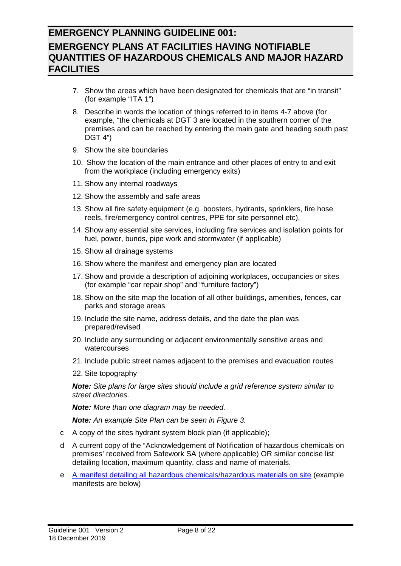- 7. Show the areas which have been designated for chemicals that are "in transit" (for example "ITA 1")
- 8. Describe in words the location of things referred to in items 4-7 above (for example, "the chemicals at DGT 3 are located in the southern corner of the premises and can be reached by entering the main gate and heading south past DGT 4")
- 9. Show the site boundaries
- 10. Show the location of the main entrance and other places of entry to and exit from the workplace (including emergency exits)
- 11. Show any internal roadways
- 12. Show the assembly and safe areas
- 13. Show all fire safety equipment (e.g. boosters, hydrants, sprinklers, fire hose reels, fire/emergency control centres, PPE for site personnel etc),
- 14. Show any essential site services, including fire services and isolation points for fuel, power, bunds, pipe work and stormwater (if applicable)
- 15. Show all drainage systems
- 16. Show where the manifest and emergency plan are located
- 17. Show and provide a description of adjoining workplaces, occupancies or sites (for example "car repair shop" and "furniture factory")
- 18. Show on the site map the location of all other buildings, amenities, fences, car parks and storage areas
- 19. Include the site name, address details, and the date the plan was prepared/revised
- 20. Include any surrounding or adjacent environmentally sensitive areas and watercourses
- 21. Include public street names adjacent to the premises and evacuation routes
- 22. Site topography

*Note: Site plans for large sites should include a grid reference system similar to street directories.*

*Note: More than one diagram may be needed.*

*Note: An example Site Plan can be seen in Figure 3.*

- c A copy of the sites hydrant system block plan (if applicable);
- d A current copy of the "Acknowledgement of Notification of hazardous chemicals on premises' received from Safework SA (where applicable) OR similar concise list detailing location, maximum quantity, class and name of materials.
- e [A manifest detailing all hazardous chemicals/hazardous materials on site](https://www.safeworkaustralia.gov.au/doc/hazardous-chemicals-manifest-template) (example manifests are below)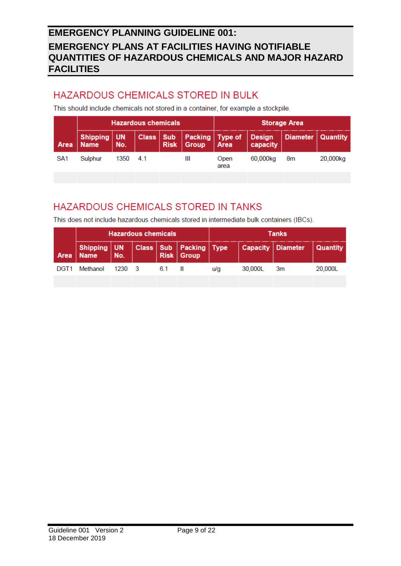# HAZARDOUS CHEMICALS STORED IN BULK

This should include chemicals not stored in a container, for example a stockpile.

|                 |                              |      | <b>Hazardous chemicals</b> |             |                         | <b>Storage Area</b> |                           |                 |          |
|-----------------|------------------------------|------|----------------------------|-------------|-------------------------|---------------------|---------------------------|-----------------|----------|
| Area            | Shipping   UN<br><b>Name</b> | No.  | Class   Sub                | <b>Risk</b> | <b>Packing</b><br>Group | Type of<br>Area     | <b>Design</b><br>capacity | <b>Diameter</b> | Quantity |
| SA <sub>1</sub> | Sulphur                      | 1350 | 4.1                        |             | Ш                       | Open<br>area        | 60,000kg                  | 8m              | 20,000kg |
|                 |                              |      |                            |             |                         |                     |                           |                 |          |

# HAZARDOUS CHEMICALS STORED IN TANKS

This does not include hazardous chemicals stored in intermediate bulk containers (IBCs).

|                  |                                                           |        | <b>Hazardous chemicals</b> |     |                   | <b>Tanks</b> |         |                            |          |
|------------------|-----------------------------------------------------------|--------|----------------------------|-----|-------------------|--------------|---------|----------------------------|----------|
|                  | Shipping   UN   Class   Sub   Packing   Type<br>Area Name | No.    |                            |     | <b>Risk Group</b> |              |         | <b>Capacity   Diameter</b> | Quantity |
| DGT <sub>1</sub> | Methanol                                                  | 1230 3 |                            | 6.1 |                   | u/a          | 30,000L | 3m                         | 20,000L  |
|                  |                                                           |        |                            |     |                   |              |         |                            |          |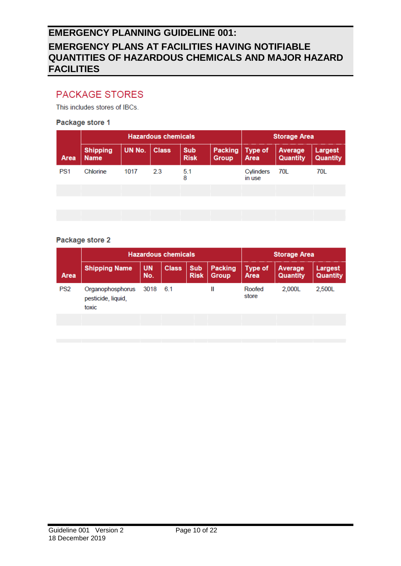### **PACKAGE STORES**

This includes stores of IBCs.

#### Package store 1

|                 |                                |        | <b>Hazardous chemicals</b> | <b>Storage Area</b>       |                  |                        |                            |                     |
|-----------------|--------------------------------|--------|----------------------------|---------------------------|------------------|------------------------|----------------------------|---------------------|
| Area            | <b>Shipping</b><br><b>Name</b> | UN No. | <b>Class</b>               | <b>Sub</b><br><b>Risk</b> | Packing<br>Group | <b>Type of</b><br>Area | Average<br><b>Quantity</b> | Largest<br>Quantity |
| PS <sub>1</sub> | Chlorine                       | 1017   | 2.3                        | 5.1<br>8                  |                  | Cylinders<br>in use    | 70L                        | 70L                 |
|                 |                                |        |                            |                           |                  |                        |                            |                     |
|                 |                                |        |                            |                           |                  |                        |                            |                     |
|                 |                                |        |                            |                           |                  |                        |                            |                     |

#### Package store 2

|                 |                                                 | <b>Hazardous chemicals</b> | <b>Storage Area</b> |                           |                         |                        |                     |                            |
|-----------------|-------------------------------------------------|----------------------------|---------------------|---------------------------|-------------------------|------------------------|---------------------|----------------------------|
| Area            | <b>Shipping Name</b>                            | <b>UN</b><br>No.           | <b>Class</b>        | <b>Sub</b><br><b>Risk</b> | Packing<br><b>Group</b> | <b>Type of</b><br>Area | Average<br>Quantity | Largest<br><b>Quantity</b> |
| PS <sub>2</sub> | Organophosphorus<br>pesticide, liquid,<br>toxic | 3018                       | 6.1                 |                           | Ш                       | Roofed<br>store        | 2.000L              | 2,500L                     |
|                 |                                                 |                            |                     |                           |                         |                        |                     |                            |
|                 |                                                 |                            |                     |                           |                         |                        |                     |                            |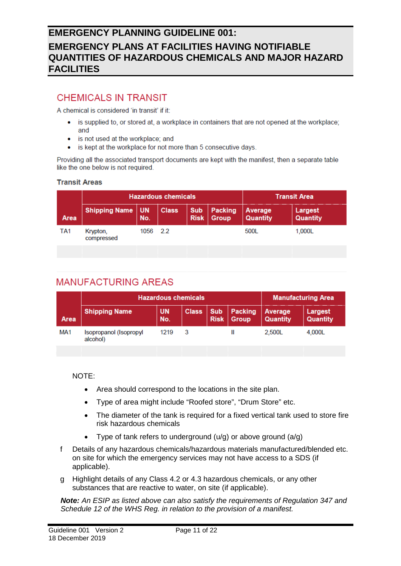### **CHEMICALS IN TRANSIT**

A chemical is considered 'in transit' if it:

- is supplied to, or stored at, a workplace in containers that are not opened at the workplace; and
- is not used at the workplace; and
- is kept at the workplace for not more than 5 consecutive days.  $\bullet$

Providing all the associated transport documents are kept with the manifest, then a separate table like the one below is not required.

#### **Transit Areas**

|                 |                        |           | <b>Hazardous chemicals</b> | <b>Transit Area</b>       |                  |                     |                     |
|-----------------|------------------------|-----------|----------------------------|---------------------------|------------------|---------------------|---------------------|
| Area            | <b>Shipping Name</b>   | UN<br>No. | <b>Class</b>               | <b>Sub</b><br><b>Risk</b> | Packing<br>Group | Average<br>Quantity | Largest<br>Quantity |
| TA <sub>1</sub> | Krypton,<br>compressed | 1056 2.2  |                            |                           |                  | 500L                | 1,000L              |
|                 |                        |           |                            |                           |                  |                     |                     |

### **MANUFACTURING AREAS**

|                 | <b>Hazardous chemicals</b>         | <b>Manufacturing Area</b> |              |             |                        |                     |                     |
|-----------------|------------------------------------|---------------------------|--------------|-------------|------------------------|---------------------|---------------------|
| Area            | <b>Shipping Name</b>               | <b>UN</b><br>No.          | <b>Class</b> | <b>Risk</b> | Sub   Packing<br>Group | Average<br>Quantity | Largest<br>Quantity |
| MA <sub>1</sub> | Isopropanol (Isopropyl<br>alcohol) | 1219                      |              |             |                        | 2,500L              | 4.000L              |

NOTE:

- Area should correspond to the locations in the site plan.
- Type of area might include "Roofed store", "Drum Store" etc.
- The diameter of the tank is required for a fixed vertical tank used to store fire risk hazardous chemicals
- Type of tank refers to underground  $(u/g)$  or above ground  $(a/g)$
- f Details of any hazardous chemicals/hazardous materials manufactured/blended etc. on site for which the emergency services may not have access to a SDS (if applicable).
- g Highlight details of any Class 4.2 or 4.3 hazardous chemicals, or any other substances that are reactive to water, on site (if applicable).

*Note: An ESIP as listed above can also satisfy the requirements of Regulation 347 and Schedule 12 of the WHS Reg. in relation to the provision of a manifest.*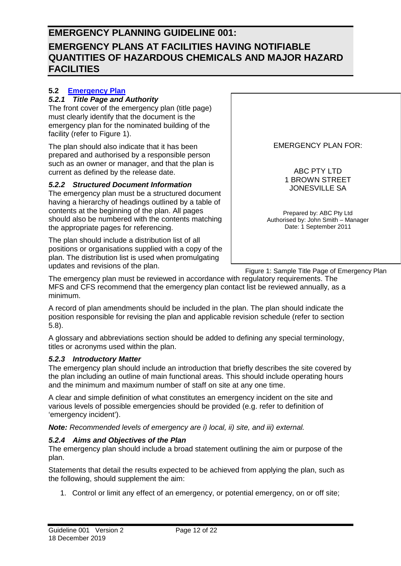### <span id="page-11-0"></span>**5.2 [Emergency Plan](https://www.safeworkaustralia.gov.au/system/files/documents/1901/code_of_practice_-_managing_the_risks_of_hazardous_chemicals_0.pdf)**

#### <span id="page-11-1"></span>*5.2.1 Title Page and Authority*

The front cover of the emergency plan (title page) must clearly identify that the document is the emergency plan for the nominated building of the facility (refer to Figure 1).

The plan should also indicate that it has been prepared and authorised by a responsible person such as an owner or manager, and that the plan is current as defined by the release date.

#### <span id="page-11-2"></span>*5.2.2 Structured Document Information*

The emergency plan must be a structured document having a hierarchy of headings outlined by a table of contents at the beginning of the plan. All pages should also be numbered with the contents matching the appropriate pages for referencing.

The plan should include a distribution list of all positions or organisations supplied with a copy of the plan. The distribution list is used when promulgating updates and revisions of the plan.

EMERGENCY PLAN FOR:

ABC PTY LTD 1 BROWN STREET JONESVILLE SA

Prepared by: ABC Pty Ltd Authorised by: John Smith – Manager Date: 1 September 2011

Figure 1: Sample Title Page of Emergency Plan

The emergency plan must be reviewed in accordance with regulatory requirements. The MFS and CFS recommend that the emergency plan contact list be reviewed annually, as a minimum.

A record of plan amendments should be included in the plan. The plan should indicate the position responsible for revising the plan and applicable revision schedule (refer to section 5.8).

A glossary and abbreviations section should be added to defining any special terminology, titles or acronyms used within the plan.

#### <span id="page-11-3"></span>*5.2.3 Introductory Matter*

The emergency plan should include an introduction that briefly describes the site covered by the plan including an outline of main functional areas. This should include operating hours and the minimum and maximum number of staff on site at any one time.

A clear and simple definition of what constitutes an emergency incident on the site and various levels of possible emergencies should be provided (e.g. refer to definition of 'emergency incident').

*Note: Recommended levels of emergency are i) local, ii) site, and iii) external.*

#### <span id="page-11-4"></span>*5.2.4 Aims and Objectives of the Plan*

The emergency plan should include a broad statement outlining the aim or purpose of the plan.

Statements that detail the results expected to be achieved from applying the plan, such as the following, should supplement the aim:

1. Control or limit any effect of an emergency, or potential emergency, on or off site;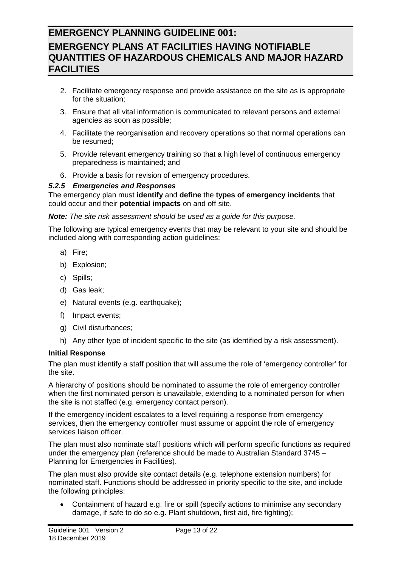- 2. Facilitate emergency response and provide assistance on the site as is appropriate for the situation;
- 3. Ensure that all vital information is communicated to relevant persons and external agencies as soon as possible;
- 4. Facilitate the reorganisation and recovery operations so that normal operations can be resumed;
- 5. Provide relevant emergency training so that a high level of continuous emergency preparedness is maintained; and
- 6. Provide a basis for revision of emergency procedures.

#### <span id="page-12-0"></span>*5.2.5 Emergencies and Responses*

The emergency plan must **identify** and **define** the **types of emergency incidents** that could occur and their **potential impacts** on and off site.

#### *Note: The site risk assessment should be used as a guide for this purpose.*

The following are typical emergency events that may be relevant to your site and should be included along with corresponding action guidelines:

- a) Fire;
- b) Explosion;
- c) Spills;
- d) Gas leak;
- e) Natural events (e.g. earthquake);
- f) Impact events;
- g) Civil disturbances;
- h) Any other type of incident specific to the site (as identified by a risk assessment).

#### **Initial Response**

The plan must identify a staff position that will assume the role of 'emergency controller' for the site.

A hierarchy of positions should be nominated to assume the role of emergency controller when the first nominated person is unavailable, extending to a nominated person for when the site is not staffed (e.g. emergency contact person).

If the emergency incident escalates to a level requiring a response from emergency services, then the emergency controller must assume or appoint the role of emergency services liaison officer.

The plan must also nominate staff positions which will perform specific functions as required under the emergency plan (reference should be made to Australian Standard 3745 – Planning for Emergencies in Facilities).

The plan must also provide site contact details (e.g. telephone extension numbers) for nominated staff. Functions should be addressed in priority specific to the site, and include the following principles:

• Containment of hazard e.g. fire or spill (specify actions to minimise any secondary damage, if safe to do so e.g. Plant shutdown, first aid, fire fighting);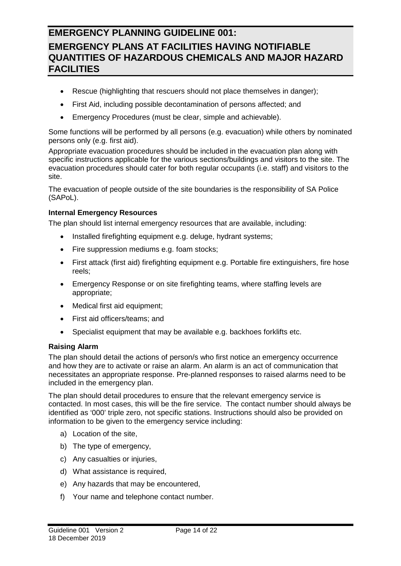- Rescue (highlighting that rescuers should not place themselves in danger);
- First Aid, including possible decontamination of persons affected; and
- Emergency Procedures (must be clear, simple and achievable).

Some functions will be performed by all persons (e.g. evacuation) while others by nominated persons only (e.g. first aid).

Appropriate evacuation procedures should be included in the evacuation plan along with specific instructions applicable for the various sections/buildings and visitors to the site. The evacuation procedures should cater for both regular occupants (i.e. staff) and visitors to the site.

The evacuation of people outside of the site boundaries is the responsibility of SA Police (SAPoL).

#### **Internal Emergency Resources**

The plan should list internal emergency resources that are available, including:

- Installed firefighting equipment e.g. deluge, hydrant systems;
- Fire suppression mediums e.g. foam stocks;
- First attack (first aid) firefighting equipment e.g. Portable fire extinguishers, fire hose reels;
- Emergency Response or on site firefighting teams, where staffing levels are appropriate;
- Medical first aid equipment;
- First aid officers/teams; and
- Specialist equipment that may be available e.g. backhoes forklifts etc.

#### **Raising Alarm**

The plan should detail the actions of person/s who first notice an emergency occurrence and how they are to activate or raise an alarm. An alarm is an act of communication that necessitates an appropriate response. Pre-planned responses to raised alarms need to be included in the emergency plan.

The plan should detail procedures to ensure that the relevant emergency service is contacted. In most cases, this will be the fire service. The contact number should always be identified as '000' triple zero, not specific stations. Instructions should also be provided on information to be given to the emergency service including:

- a) Location of the site,
- b) The type of emergency,
- c) Any casualties or injuries,
- d) What assistance is required,
- e) Any hazards that may be encountered,
- f) Your name and telephone contact number.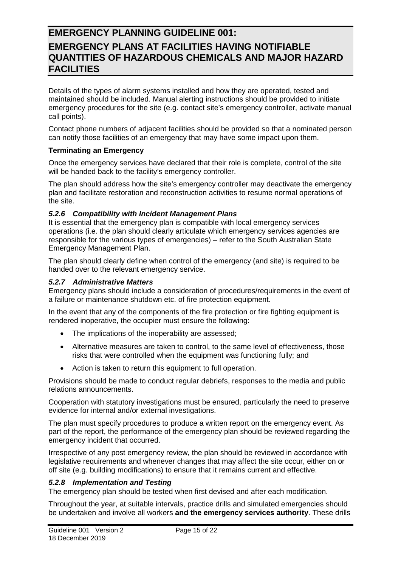Details of the types of alarm systems installed and how they are operated, tested and maintained should be included. Manual alerting instructions should be provided to initiate emergency procedures for the site (e.g. contact site's emergency controller, activate manual call points).

Contact phone numbers of adjacent facilities should be provided so that a nominated person can notify those facilities of an emergency that may have some impact upon them.

#### **Terminating an Emergency**

Once the emergency services have declared that their role is complete, control of the site will be handed back to the facility's emergency controller.

The plan should address how the site's emergency controller may deactivate the emergency plan and facilitate restoration and reconstruction activities to resume normal operations of the site.

#### <span id="page-14-0"></span>*5.2.6 Compatibility with Incident Management Plans*

It is essential that the emergency plan is compatible with local emergency services operations (i.e. the plan should clearly articulate which emergency services agencies are responsible for the various types of emergencies) – refer to the South Australian State Emergency Management Plan.

The plan should clearly define when control of the emergency (and site) is required to be handed over to the relevant emergency service.

#### <span id="page-14-1"></span>*5.2.7 Administrative Matters*

Emergency plans should include a consideration of procedures/requirements in the event of a failure or maintenance shutdown etc. of fire protection equipment.

In the event that any of the components of the fire protection or fire fighting equipment is rendered inoperative, the occupier must ensure the following:

- The implications of the inoperability are assessed;
- Alternative measures are taken to control, to the same level of effectiveness, those risks that were controlled when the equipment was functioning fully; and
- Action is taken to return this equipment to full operation.

Provisions should be made to conduct regular debriefs, responses to the media and public relations announcements.

Cooperation with statutory investigations must be ensured, particularly the need to preserve evidence for internal and/or external investigations.

The plan must specify procedures to produce a written report on the emergency event. As part of the report, the performance of the emergency plan should be reviewed regarding the emergency incident that occurred.

Irrespective of any post emergency review, the plan should be reviewed in accordance with legislative requirements and whenever changes that may affect the site occur, either on or off site (e.g. building modifications) to ensure that it remains current and effective.

#### <span id="page-14-2"></span>*5.2.8 Implementation and Testing*

The emergency plan should be tested when first devised and after each modification.

Throughout the year, at suitable intervals, practice drills and simulated emergencies should be undertaken and involve all workers **and the emergency services authority**. These drills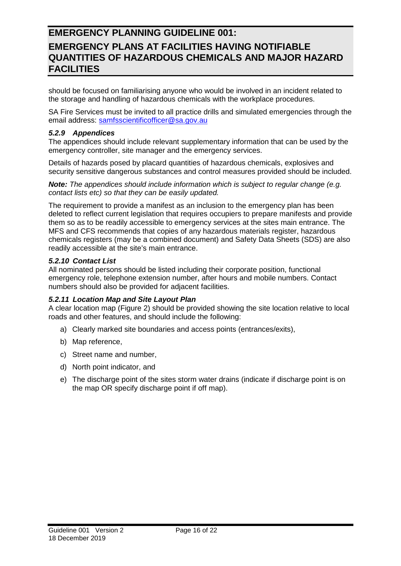should be focused on familiarising anyone who would be involved in an incident related to the storage and handling of hazardous chemicals with the workplace procedures.

SA Fire Services must be invited to all practice drills and simulated emergencies through the email address: [samfsscientificofficer@sa.gov.au](mailto:samfsscientificofficer@sa.gov.au)

#### <span id="page-15-0"></span>*5.2.9 Appendices*

The appendices should include relevant supplementary information that can be used by the emergency controller, site manager and the emergency services.

Details of hazards posed by placard quantities of hazardous chemicals, explosives and security sensitive dangerous substances and control measures provided should be included.

*Note: The appendices should include information which is subject to regular change (e.g. contact lists etc) so that they can be easily updated.*

The requirement to provide a manifest as an inclusion to the emergency plan has been deleted to reflect current legislation that requires occupiers to prepare manifests and provide them so as to be readily accessible to emergency services at the sites main entrance. The MFS and CFS recommends that copies of any hazardous materials register, hazardous chemicals registers (may be a combined document) and Safety Data Sheets (SDS) are also readily accessible at the site's main entrance.

#### <span id="page-15-1"></span>*5.2.10 Contact List*

All nominated persons should be listed including their corporate position, functional emergency role, telephone extension number, after hours and mobile numbers. Contact numbers should also be provided for adjacent facilities.

#### <span id="page-15-2"></span>*5.2.11 Location Map and Site Layout Plan*

A clear location map (Figure 2) should be provided showing the site location relative to local roads and other features, and should include the following:

- a) Clearly marked site boundaries and access points (entrances/exits),
- b) Map reference,
- c) Street name and number,
- d) North point indicator, and
- e) The discharge point of the sites storm water drains (indicate if discharge point is on the map OR specify discharge point if off map).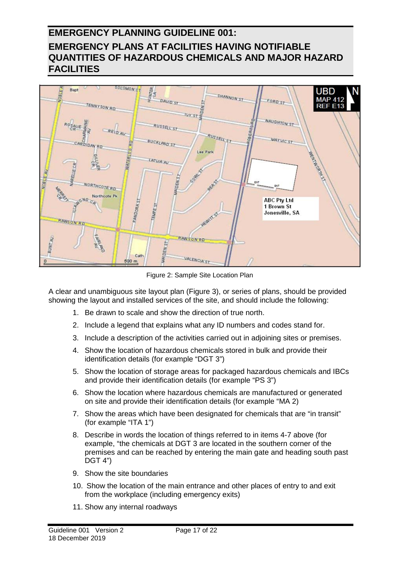

Figure 2: Sample Site Location Plan

A clear and unambiguous site layout plan (Figure 3), or series of plans, should be provided showing the layout and installed services of the site, and should include the following:

- 1. Be drawn to scale and show the direction of true north.
- 2. Include a legend that explains what any ID numbers and codes stand for.
- 3. Include a description of the activities carried out in adjoining sites or premises.
- 4. Show the location of hazardous chemicals stored in bulk and provide their identification details (for example "DGT 3")
- 5. Show the location of storage areas for packaged hazardous chemicals and IBCs and provide their identification details (for example "PS 3")
- 6. Show the location where hazardous chemicals are manufactured or generated on site and provide their identification details (for example "MA 2)
- 7. Show the areas which have been designated for chemicals that are "in transit" (for example "ITA 1")
- 8. Describe in words the location of things referred to in items 4-7 above (for example, "the chemicals at DGT 3 are located in the southern corner of the premises and can be reached by entering the main gate and heading south past DGT 4")
- 9. Show the site boundaries
- 10. Show the location of the main entrance and other places of entry to and exit from the workplace (including emergency exits)
- 11. Show any internal roadways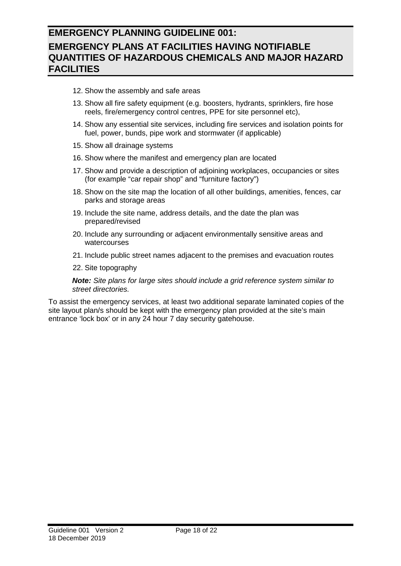- 12. Show the assembly and safe areas
- 13. Show all fire safety equipment (e.g. boosters, hydrants, sprinklers, fire hose reels, fire/emergency control centres, PPE for site personnel etc),
- 14. Show any essential site services, including fire services and isolation points for fuel, power, bunds, pipe work and stormwater (if applicable)
- 15. Show all drainage systems
- 16. Show where the manifest and emergency plan are located
- 17. Show and provide a description of adjoining workplaces, occupancies or sites (for example "car repair shop" and "furniture factory")
- 18. Show on the site map the location of all other buildings, amenities, fences, car parks and storage areas
- 19. Include the site name, address details, and the date the plan was prepared/revised
- 20. Include any surrounding or adjacent environmentally sensitive areas and watercourses
- 21. Include public street names adjacent to the premises and evacuation routes
- 22. Site topography

*Note: Site plans for large sites should include a grid reference system similar to street directories.*

To assist the emergency services, at least two additional separate laminated copies of the site layout plan/s should be kept with the emergency plan provided at the site's main entrance 'lock box' or in any 24 hour 7 day security gatehouse.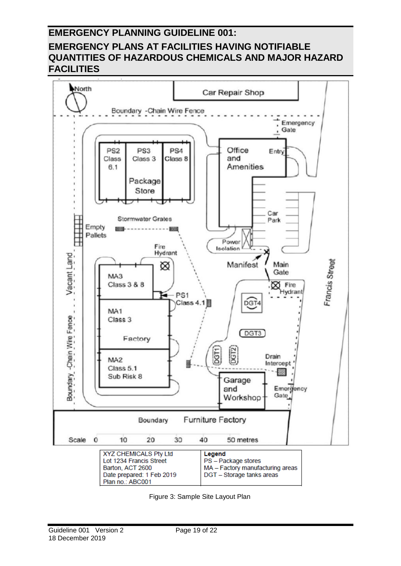

Figure 3: Sample Site Layout Plan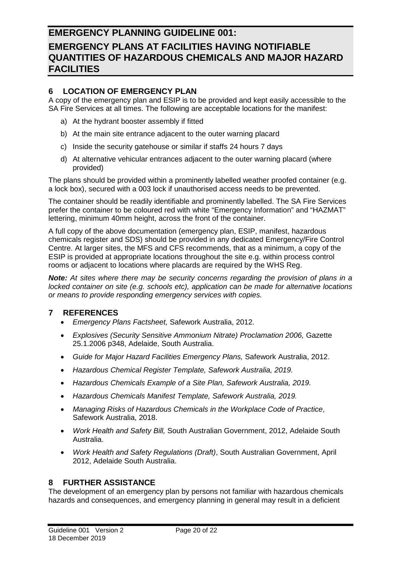### <span id="page-19-0"></span>**6 LOCATION OF EMERGENCY PLAN**

A copy of the emergency plan and ESIP is to be provided and kept easily accessible to the SA Fire Services at all times. The following are acceptable locations for the manifest:

- a) At the hydrant booster assembly if fitted
- b) At the main site entrance adjacent to the outer warning placard
- c) Inside the security gatehouse or similar if staffs 24 hours 7 days
- d) At alternative vehicular entrances adjacent to the outer warning placard (where provided)

The plans should be provided within a prominently labelled weather proofed container (e.g. a lock box), secured with a 003 lock if unauthorised access needs to be prevented.

The container should be readily identifiable and prominently labelled. The SA Fire Services prefer the container to be coloured red with white "Emergency Information" and "HAZMAT" lettering, minimum 40mm height, across the front of the container.

A full copy of the above documentation (emergency plan, ESIP, manifest, hazardous chemicals register and SDS) should be provided in any dedicated Emergency/Fire Control Centre. At larger sites, the MFS and CFS recommends, that as a minimum, a copy of the ESIP is provided at appropriate locations throughout the site e.g. within process control rooms or adjacent to locations where placards are required by the WHS Reg.

*Note: At sites where there may be security concerns regarding the provision of plans in a locked container on site (e.g. schools etc), application can be made for alternative locations or means to provide responding emergency services with copies.*

#### <span id="page-19-1"></span>**7 REFERENCES**

- *Emergency Plans Factsheet,* Safework Australia, 2012.
- *Explosives (Security Sensitive Ammonium Nitrate) Proclamation 2006,* Gazette 25.1.2006 p348, Adelaide, South Australia.
- *Guide for Major Hazard Facilities Emergency Plans,* Safework Australia, 2012.
- *Hazardous Chemical Register Template, Safework Australia, 2019.*
- *Hazardous Chemicals Example of a Site Plan, Safework Australia, 2019.*
- *Hazardous Chemicals Manifest Template, Safework Australia, 2019.*
- *Managing Risks of Hazardous Chemicals in the Workplace Code of Practice*, Safework Australia, 2018.
- *Work Health and Safety Bill,* South Australian Government, 2012, Adelaide South Australia.
- *Work Health and Safety Regulations (Draft)*, South Australian Government, April 2012, Adelaide South Australia.

#### <span id="page-19-2"></span>**8 FURTHER ASSISTANCE**

The development of an emergency plan by persons not familiar with hazardous chemicals hazards and consequences, and emergency planning in general may result in a deficient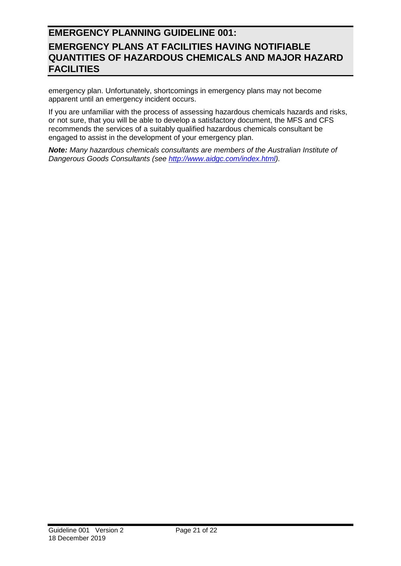emergency plan. Unfortunately, shortcomings in emergency plans may not become apparent until an emergency incident occurs.

If you are unfamiliar with the process of assessing hazardous chemicals hazards and risks, or not sure, that you will be able to develop a satisfactory document, the MFS and CFS recommends the services of a suitably qualified hazardous chemicals consultant be engaged to assist in the development of your emergency plan.

*Note: Many hazardous chemicals consultants are members of the Australian Institute of Dangerous Goods Consultants (see [http://www.aidgc.com/index.html\)](http://www.aidgc.com/index.html).*